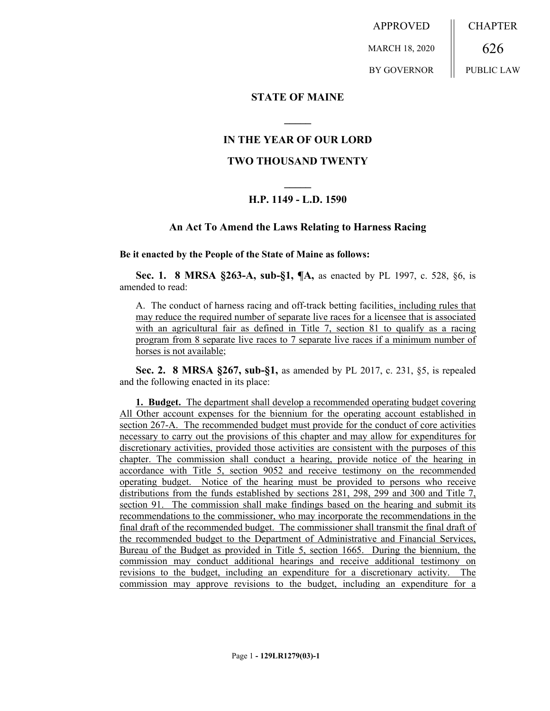APPROVED MARCH 18, 2020 BY GOVERNOR **CHAPTER** 626 PUBLIC LAW

# **STATE OF MAINE**

# **IN THE YEAR OF OUR LORD**

**\_\_\_\_\_**

# **TWO THOUSAND TWENTY**

# **\_\_\_\_\_ H.P. 1149 - L.D. 1590**

### **An Act To Amend the Laws Relating to Harness Racing**

#### **Be it enacted by the People of the State of Maine as follows:**

**Sec. 1. 8 MRSA §263-A, sub-§1, ¶A,** as enacted by PL 1997, c. 528, §6, is amended to read:

A. The conduct of harness racing and off-track betting facilities, including rules that may reduce the required number of separate live races for a licensee that is associated with an agricultural fair as defined in Title 7, section 81 to qualify as a racing program from 8 separate live races to 7 separate live races if a minimum number of horses is not available;

**Sec. 2. 8 MRSA §267, sub-§1,** as amended by PL 2017, c. 231, §5, is repealed and the following enacted in its place:

**1. Budget.** The department shall develop a recommended operating budget covering All Other account expenses for the biennium for the operating account established in section 267-A. The recommended budget must provide for the conduct of core activities necessary to carry out the provisions of this chapter and may allow for expenditures for discretionary activities, provided those activities are consistent with the purposes of this chapter. The commission shall conduct a hearing, provide notice of the hearing in accordance with Title 5, section 9052 and receive testimony on the recommended operating budget. Notice of the hearing must be provided to persons who receive distributions from the funds established by sections 281, 298, 299 and 300 and Title 7, section 91. The commission shall make findings based on the hearing and submit its recommendations to the commissioner, who may incorporate the recommendations in the final draft of the recommended budget. The commissioner shall transmit the final draft of the recommended budget to the Department of Administrative and Financial Services, Bureau of the Budget as provided in Title 5, section 1665. During the biennium, the commission may conduct additional hearings and receive additional testimony on revisions to the budget, including an expenditure for a discretionary activity. The commission may approve revisions to the budget, including an expenditure for a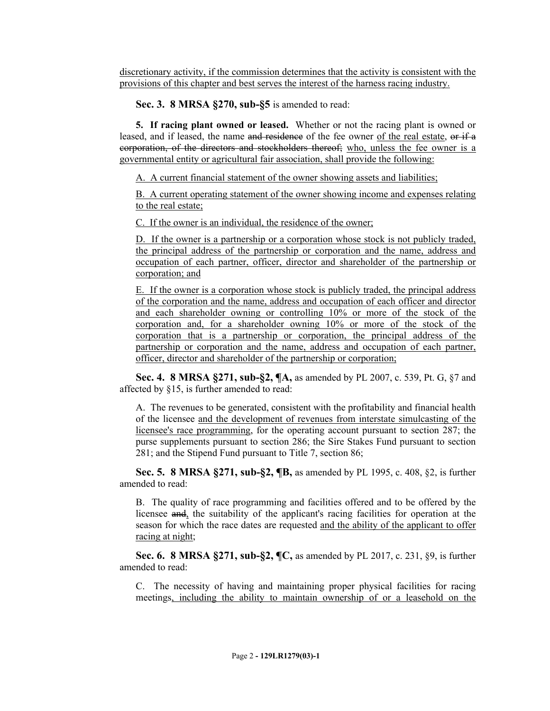discretionary activity, if the commission determines that the activity is consistent with the provisions of this chapter and best serves the interest of the harness racing industry.

**Sec. 3. 8 MRSA §270, sub-§5** is amended to read:

**5. If racing plant owned or leased.** Whether or not the racing plant is owned or leased, and if leased, the name and residence of the fee owner of the real estate, or if a corporation, of the directors and stockholders thereof; who, unless the fee owner is a governmental entity or agricultural fair association, shall provide the following:

A. A current financial statement of the owner showing assets and liabilities;

B. A current operating statement of the owner showing income and expenses relating to the real estate;

C. If the owner is an individual, the residence of the owner;

D. If the owner is a partnership or a corporation whose stock is not publicly traded, the principal address of the partnership or corporation and the name, address and occupation of each partner, officer, director and shareholder of the partnership or corporation; and

E. If the owner is a corporation whose stock is publicly traded, the principal address of the corporation and the name, address and occupation of each officer and director and each shareholder owning or controlling 10% or more of the stock of the corporation and, for a shareholder owning 10% or more of the stock of the corporation that is a partnership or corporation, the principal address of the partnership or corporation and the name, address and occupation of each partner, officer, director and shareholder of the partnership or corporation;

**Sec. 4. 8 MRSA §271, sub-§2, ¶A,** as amended by PL 2007, c. 539, Pt. G, §7 and affected by §15, is further amended to read:

A. The revenues to be generated, consistent with the profitability and financial health of the licensee and the development of revenues from interstate simulcasting of the licensee's race programming, for the operating account pursuant to section 287; the purse supplements pursuant to section 286; the Sire Stakes Fund pursuant to section 281; and the Stipend Fund pursuant to Title 7, section 86;

**Sec. 5. 8 MRSA §271, sub-§2, ¶B,** as amended by PL 1995, c. 408, §2, is further amended to read:

B. The quality of race programming and facilities offered and to be offered by the licensee and, the suitability of the applicant's racing facilities for operation at the season for which the race dates are requested and the ability of the applicant to offer racing at night;

**Sec. 6. 8 MRSA §271, sub-§2, ¶C,** as amended by PL 2017, c. 231, §9, is further amended to read:

C. The necessity of having and maintaining proper physical facilities for racing meetings, including the ability to maintain ownership of or a leasehold on the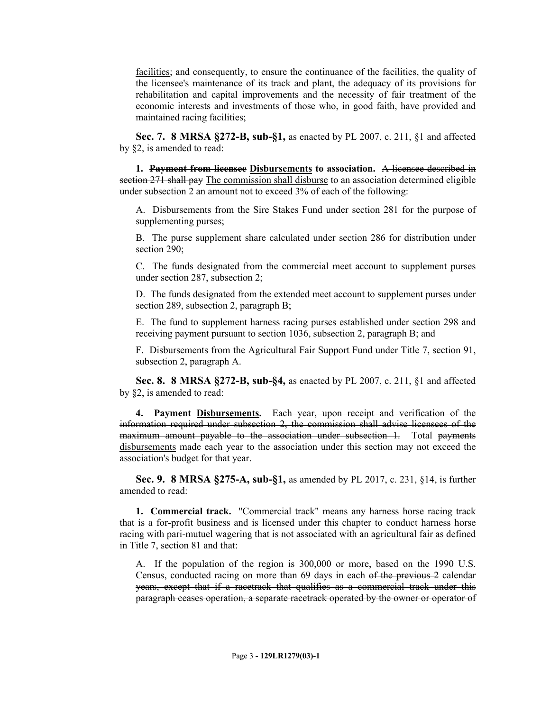facilities; and consequently, to ensure the continuance of the facilities, the quality of the licensee's maintenance of its track and plant, the adequacy of its provisions for rehabilitation and capital improvements and the necessity of fair treatment of the economic interests and investments of those who, in good faith, have provided and maintained racing facilities;

**Sec. 7. 8 MRSA §272-B, sub-§1,** as enacted by PL 2007, c. 211, §1 and affected by §2, is amended to read:

**1. Payment from licensee Disbursements to association.** A licensee described in section 271 shall pay The commission shall disburse to an association determined eligible under subsection 2 an amount not to exceed 3% of each of the following:

A. Disbursements from the Sire Stakes Fund under section 281 for the purpose of supplementing purses;

B. The purse supplement share calculated under section 286 for distribution under section 290:

C. The funds designated from the commercial meet account to supplement purses under section 287, subsection 2;

D. The funds designated from the extended meet account to supplement purses under section 289, subsection 2, paragraph B;

E. The fund to supplement harness racing purses established under section 298 and receiving payment pursuant to section 1036, subsection 2, paragraph B; and

F. Disbursements from the Agricultural Fair Support Fund under Title 7, section 91, subsection 2, paragraph A.

**Sec. 8. 8 MRSA §272-B, sub-§4,** as enacted by PL 2007, c. 211, §1 and affected by §2, is amended to read:

**4. Payment Disbursements.** Each year, upon receipt and verification of the information required under subsection 2, the commission shall advise licensees of the maximum amount payable to the association under subsection 1. Total payments disbursements made each year to the association under this section may not exceed the association's budget for that year.

**Sec. 9. 8 MRSA §275-A, sub-§1,** as amended by PL 2017, c. 231, §14, is further amended to read:

**1. Commercial track.** "Commercial track" means any harness horse racing track that is a for-profit business and is licensed under this chapter to conduct harness horse racing with pari-mutuel wagering that is not associated with an agricultural fair as defined in Title 7, section 81 and that:

A. If the population of the region is 300,000 or more, based on the 1990 U.S. Census, conducted racing on more than 69 days in each of the previous 2 calendar years, except that if a racetrack that qualifies as a commercial track under this paragraph ceases operation, a separate racetrack operated by the owner or operator of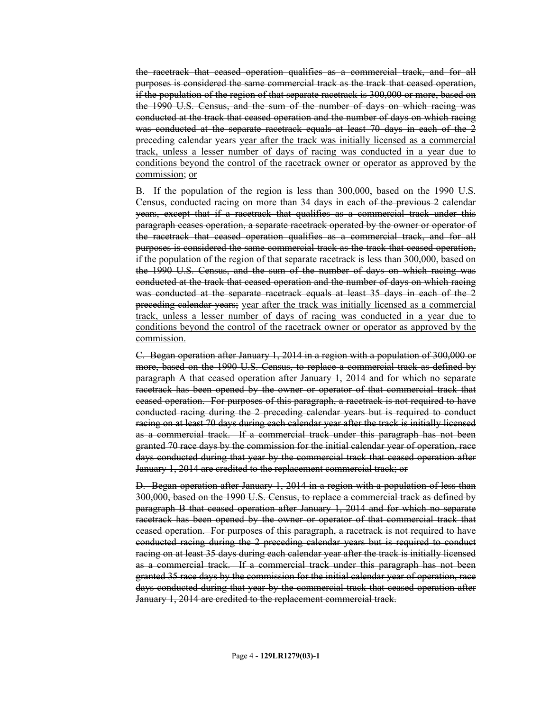the racetrack that ceased operation qualifies as a commercial track, and for all purposes is considered the same commercial track as the track that ceased operation, if the population of the region of that separate racetrack is 300,000 or more, based on the 1990 U.S. Census, and the sum of the number of days on which racing was conducted at the track that ceased operation and the number of days on which racing was conducted at the separate racetrack equals at least 70 days in each of the 2 preceding calendar years year after the track was initially licensed as a commercial track, unless a lesser number of days of racing was conducted in a year due to conditions beyond the control of the racetrack owner or operator as approved by the commission; or

B. If the population of the region is less than 300,000, based on the 1990 U.S. Census, conducted racing on more than 34 days in each of the previous 2 calendar years, except that if a racetrack that qualifies as a commercial track under this paragraph ceases operation, a separate racetrack operated by the owner or operator of the racetrack that ceased operation qualifies as a commercial track, and for all purposes is considered the same commercial track as the track that ceased operation, if the population of the region of that separate racetrack is less than 300,000, based on the 1990 U.S. Census, and the sum of the number of days on which racing was conducted at the track that ceased operation and the number of days on which racing was conducted at the separate racetrack equals at least 35 days in each of the 2 preceding calendar years; year after the track was initially licensed as a commercial track, unless a lesser number of days of racing was conducted in a year due to conditions beyond the control of the racetrack owner or operator as approved by the commission.

C. Began operation after January 1, 2014 in a region with a population of 300,000 or more, based on the 1990 U.S. Census, to replace a commercial track as defined by paragraph A that ceased operation after January 1, 2014 and for which no separate racetrack has been opened by the owner or operator of that commercial track that ceased operation. For purposes of this paragraph, a racetrack is not required to have conducted racing during the 2 preceding calendar years but is required to conduct racing on at least 70 days during each calendar year after the track is initially licensed as a commercial track. If a commercial track under this paragraph has not been granted 70 race days by the commission for the initial calendar year of operation, race days conducted during that year by the commercial track that ceased operation after January 1, 2014 are credited to the replacement commercial track; or

D. Began operation after January 1, 2014 in a region with a population of less than 300,000, based on the 1990 U.S. Census, to replace a commercial track as defined by paragraph B that ceased operation after January 1, 2014 and for which no separate racetrack has been opened by the owner or operator of that commercial track that ceased operation. For purposes of this paragraph, a racetrack is not required to have conducted racing during the 2 preceding calendar years but is required to conduct racing on at least 35 days during each calendar year after the track is initially licensed as a commercial track. If a commercial track under this paragraph has not been granted 35 race days by the commission for the initial calendar year of operation, race days conducted during that year by the commercial track that ceased operation after January 1, 2014 are credited to the replacement commercial track.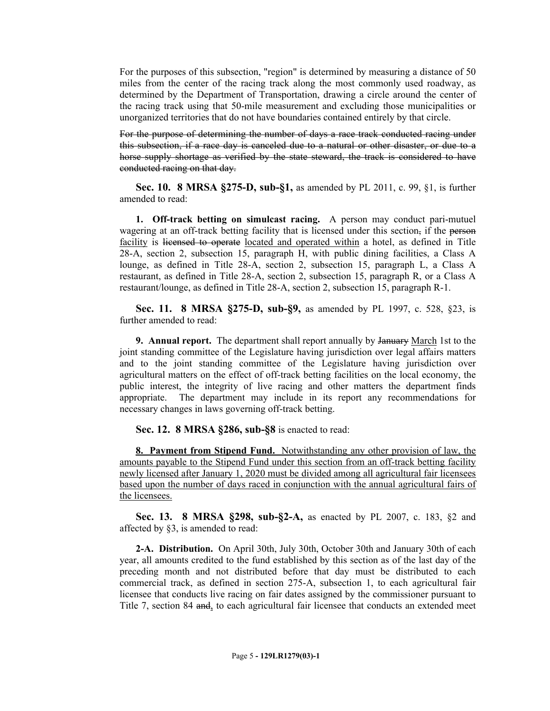For the purposes of this subsection, "region" is determined by measuring a distance of 50 miles from the center of the racing track along the most commonly used roadway, as determined by the Department of Transportation, drawing a circle around the center of the racing track using that 50-mile measurement and excluding those municipalities or unorganized territories that do not have boundaries contained entirely by that circle.

For the purpose of determining the number of days a race track conducted racing under this subsection, if a race day is canceled due to a natural or other disaster, or due to a horse supply shortage as verified by the state steward, the track is considered to have conducted racing on that day.

**Sec. 10. 8 MRSA §275-D, sub-§1,** as amended by PL 2011, c. 99, §1, is further amended to read:

**1. Off-track betting on simulcast racing.** A person may conduct pari-mutuel wagering at an off-track betting facility that is licensed under this section, if the person facility is licensed to operate located and operated within a hotel, as defined in Title 28-A, section 2, subsection 15, paragraph H, with public dining facilities, a Class A lounge, as defined in Title 28-A, section 2, subsection 15, paragraph L, a Class A restaurant, as defined in Title 28-A, section 2, subsection 15, paragraph R, or a Class A restaurant/lounge, as defined in Title 28-A, section 2, subsection 15, paragraph R-1.

**Sec. 11. 8 MRSA §275-D, sub-§9,** as amended by PL 1997, c. 528, §23, is further amended to read:

**9. Annual report.** The department shall report annually by January March 1st to the joint standing committee of the Legislature having jurisdiction over legal affairs matters and to the joint standing committee of the Legislature having jurisdiction over agricultural matters on the effect of off-track betting facilities on the local economy, the public interest, the integrity of live racing and other matters the department finds appropriate. The department may include in its report any recommendations for necessary changes in laws governing off-track betting.

**Sec. 12. 8 MRSA §286, sub-§8** is enacted to read:

**8. Payment from Stipend Fund.** Notwithstanding any other provision of law, the amounts payable to the Stipend Fund under this section from an off-track betting facility newly licensed after January 1, 2020 must be divided among all agricultural fair licensees based upon the number of days raced in conjunction with the annual agricultural fairs of the licensees.

**Sec. 13. 8 MRSA §298, sub-§2-A,** as enacted by PL 2007, c. 183, §2 and affected by §3, is amended to read:

**2-A. Distribution.** On April 30th, July 30th, October 30th and January 30th of each year, all amounts credited to the fund established by this section as of the last day of the preceding month and not distributed before that day must be distributed to each commercial track, as defined in section 275-A, subsection 1, to each agricultural fair licensee that conducts live racing on fair dates assigned by the commissioner pursuant to Title 7, section 84 and, to each agricultural fair licensee that conducts an extended meet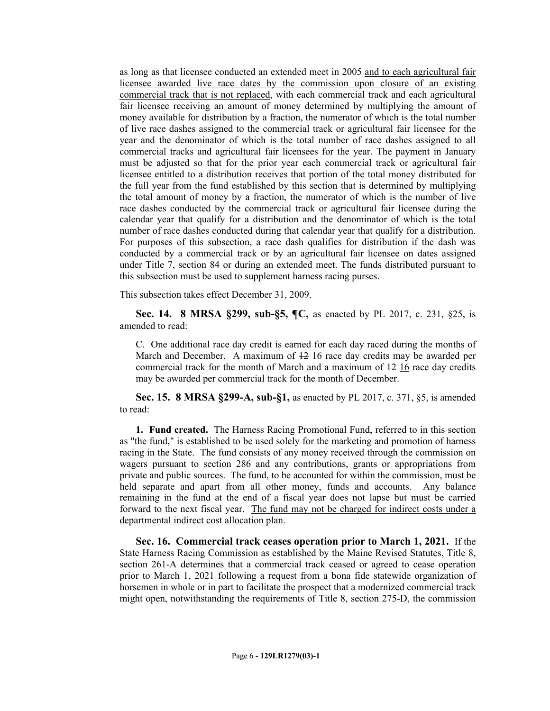as long as that licensee conducted an extended meet in 2005 and to each agricultural fair licensee awarded live race dates by the commission upon closure of an existing commercial track that is not replaced, with each commercial track and each agricultural fair licensee receiving an amount of money determined by multiplying the amount of money available for distribution by a fraction, the numerator of which is the total number of live race dashes assigned to the commercial track or agricultural fair licensee for the year and the denominator of which is the total number of race dashes assigned to all commercial tracks and agricultural fair licensees for the year. The payment in January must be adjusted so that for the prior year each commercial track or agricultural fair licensee entitled to a distribution receives that portion of the total money distributed for the full year from the fund established by this section that is determined by multiplying the total amount of money by a fraction, the numerator of which is the number of live race dashes conducted by the commercial track or agricultural fair licensee during the calendar year that qualify for a distribution and the denominator of which is the total number of race dashes conducted during that calendar year that qualify for a distribution. For purposes of this subsection, a race dash qualifies for distribution if the dash was conducted by a commercial track or by an agricultural fair licensee on dates assigned under Title 7, section 84 or during an extended meet. The funds distributed pursuant to this subsection must be used to supplement harness racing purses.

This subsection takes effect December 31, 2009.

**Sec. 14. 8 MRSA §299, sub-§5, ¶C,** as enacted by PL 2017, c. 231, §25, is amended to read:

C. One additional race day credit is earned for each day raced during the months of March and December. A maximum of 12 16 race day credits may be awarded per commercial track for the month of March and a maximum of  $\frac{12}{16}$  race day credits may be awarded per commercial track for the month of December.

**Sec. 15. 8 MRSA §299-A, sub-§1,** as enacted by PL 2017, c. 371, §5, is amended to read:

**1. Fund created.** The Harness Racing Promotional Fund, referred to in this section as "the fund," is established to be used solely for the marketing and promotion of harness racing in the State. The fund consists of any money received through the commission on wagers pursuant to section 286 and any contributions, grants or appropriations from private and public sources. The fund, to be accounted for within the commission, must be held separate and apart from all other money, funds and accounts. Any balance remaining in the fund at the end of a fiscal year does not lapse but must be carried forward to the next fiscal year. The fund may not be charged for indirect costs under a departmental indirect cost allocation plan.

**Sec. 16. Commercial track ceases operation prior to March 1, 2021.** If the State Harness Racing Commission as established by the Maine Revised Statutes, Title 8, section 261-A determines that a commercial track ceased or agreed to cease operation prior to March 1, 2021 following a request from a bona fide statewide organization of horsemen in whole or in part to facilitate the prospect that a modernized commercial track might open, notwithstanding the requirements of Title 8, section 275-D, the commission